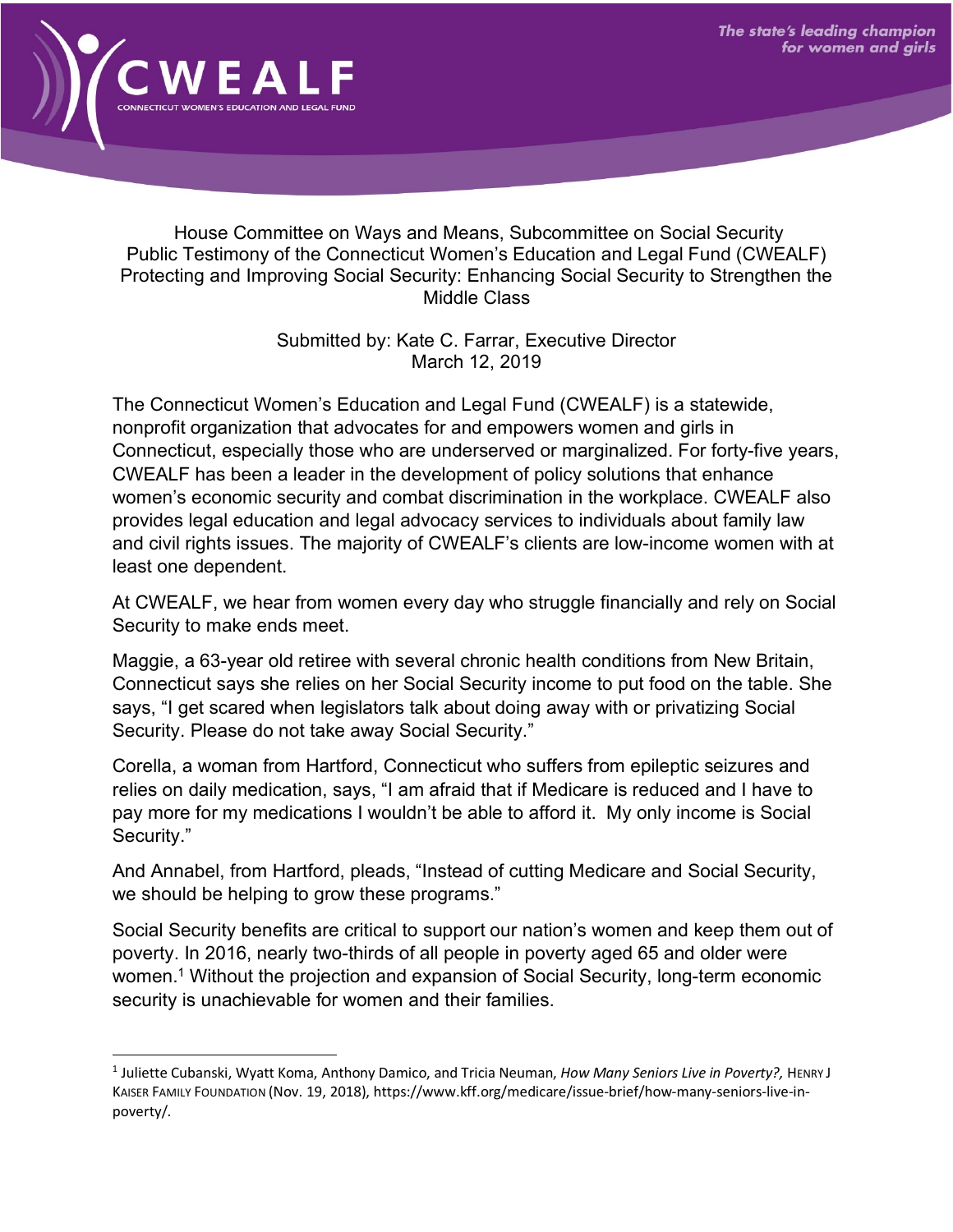

House Committee on Ways and Means, Subcommittee on Social Security Public Testimony of the Connecticut Women's Education and Legal Fund (CWEALF) Protecting and Improving Social Security: Enhancing Social Security to Strengthen the Middle Class

> Submitted by: Kate C. Farrar, Executive Director March 12, 2019

The Connecticut Women's Education and Legal Fund (CWEALF) is a statewide, nonprofit organization that advocates for and empowers women and girls in Connecticut, especially those who are underserved or marginalized. For forty-five years, CWEALF has been a leader in the development of policy solutions that enhance women's economic security and combat discrimination in the workplace. CWEALF also provides legal education and legal advocacy services to individuals about family law and civil rights issues. The majority of CWEALF's clients are low-income women with at least one dependent.

At CWEALF, we hear from women every day who struggle financially and rely on Social Security to make ends meet.

Maggie, a 63-year old retiree with several chronic health conditions from New Britain, Connecticut says she relies on her Social Security income to put food on the table. She says, "I get scared when legislators talk about doing away with or privatizing Social Security. Please do not take away Social Security."

Corella, a woman from Hartford, Connecticut who suffers from epileptic seizures and relies on daily medication, says, "I am afraid that if Medicare is reduced and I have to pay more for my medications I wouldn't be able to afford it. My only income is Social Security."

And Annabel, from Hartford, pleads, "Instead of cutting Medicare and Social Security, we should be helping to grow these programs."

Social Security benefits are critical to support our nation's women and keep them out of poverty. In 2016, nearly two-thirds of all people in poverty aged 65 and older were women.<sup>1</sup> Without the projection and expansion of Social Security, long-term economic security is unachievable for women and their families.

 <sup>1</sup> Juliette Cubanski, Wyatt Koma, Anthony Damico, and Tricia Neuman, *How Many Seniors Live in Poverty?,* HENRY J KAISER FAMILY FOUNDATION (Nov. 19, 2018), https://www.kff.org/medicare/issue-brief/how-many-seniors-live-inpoverty/.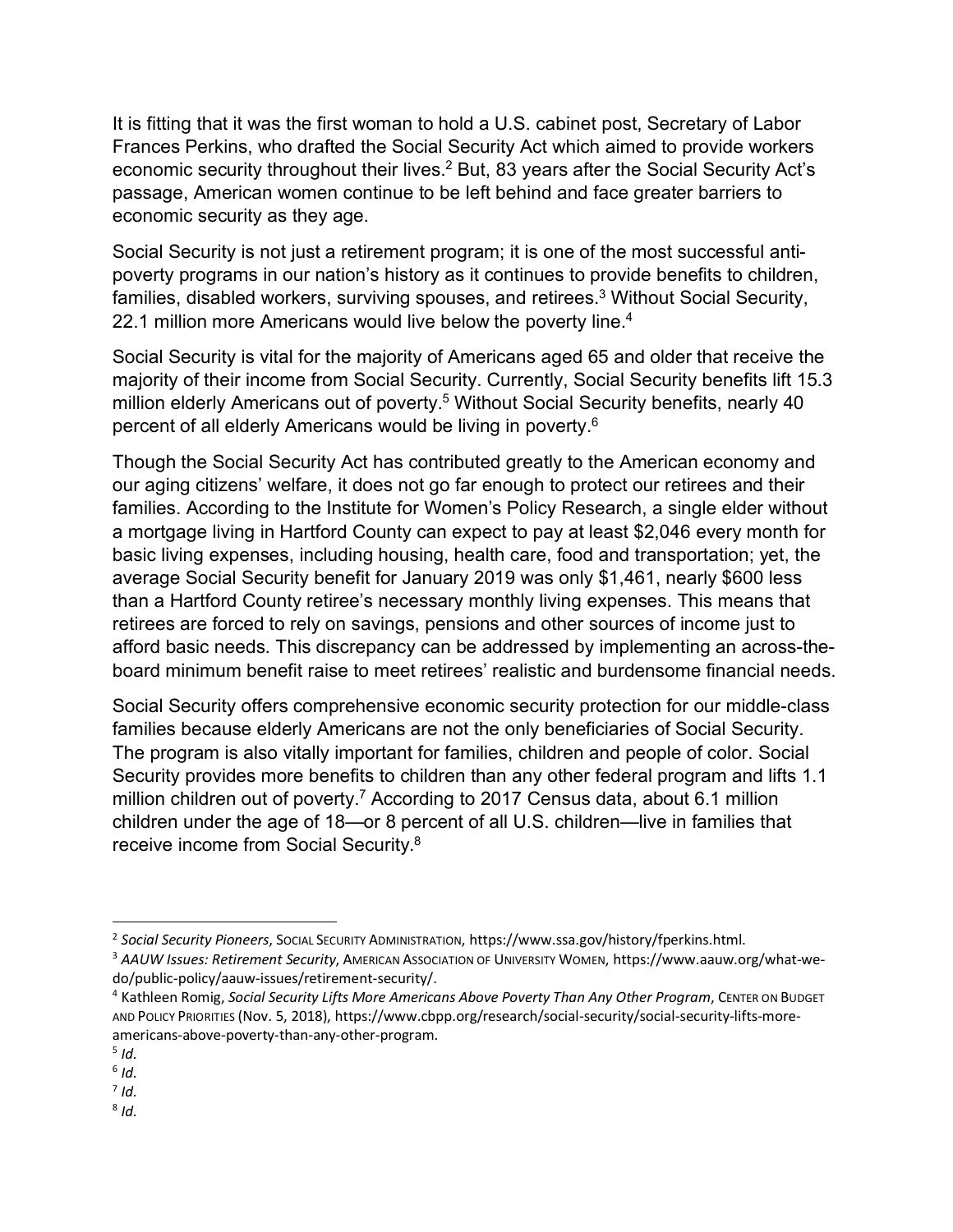It is fitting that it was the first woman to hold a U.S. cabinet post, Secretary of Labor Frances Perkins, who drafted the Social Security Act which aimed to provide workers economic security throughout their lives.<sup>2</sup> But, 83 years after the Social Security Act's passage, American women continue to be left behind and face greater barriers to economic security as they age.

Social Security is not just a retirement program; it is one of the most successful antipoverty programs in our nation's history as it continues to provide benefits to children, families, disabled workers, surviving spouses, and retirees.<sup>3</sup> Without Social Security, 22.1 million more Americans would live below the poverty line.<sup>4</sup>

Social Security is vital for the majority of Americans aged 65 and older that receive the majority of their income from Social Security. Currently, Social Security benefits lift 15.3 million elderly Americans out of poverty.<sup>5</sup> Without Social Security benefits, nearly 40 percent of all elderly Americans would be living in poverty.6

Though the Social Security Act has contributed greatly to the American economy and our aging citizens' welfare, it does not go far enough to protect our retirees and their families. According to the Institute for Women's Policy Research, a single elder without a mortgage living in Hartford County can expect to pay at least \$2,046 every month for basic living expenses, including housing, health care, food and transportation; yet, the average Social Security benefit for January 2019 was only \$1,461, nearly \$600 less than a Hartford County retiree's necessary monthly living expenses. This means that retirees are forced to rely on savings, pensions and other sources of income just to afford basic needs. This discrepancy can be addressed by implementing an across-theboard minimum benefit raise to meet retirees' realistic and burdensome financial needs.

Social Security offers comprehensive economic security protection for our middle-class families because elderly Americans are not the only beneficiaries of Social Security. The program is also vitally important for families, children and people of color. Social Security provides more benefits to children than any other federal program and lifts 1.1 million children out of poverty.<sup>7</sup> According to 2017 Census data, about 6.1 million children under the age of 18—or 8 percent of all U.S. children—live in families that receive income from Social Security.8

 <sup>2</sup> *Social Security Pioneers*, SOCIAL SECURITY ADMINISTRATION, https://www.ssa.gov/history/fperkins.html.

<sup>3</sup> *AAUW Issues: Retirement Security*, AMERICAN ASSOCIATION OF UNIVERSITY WOMEN, https://www.aauw.org/what-wedo/public-policy/aauw-issues/retirement-security/.

<sup>4</sup> Kathleen Romig, *Social Security Lifts More Americans Above Poverty Than Any Other Program*, CENTER ON BUDGET AND POLICY PRIORITIES (Nov. 5, 2018), https://www.cbpp.org/research/social-security/social-security-lifts-moreamericans-above-poverty-than-any-other-program.

 $5$  *Id.* 

 $6$  *Id.* 

 $<sup>7</sup>$  *Id.*</sup>  $8$  *Id.*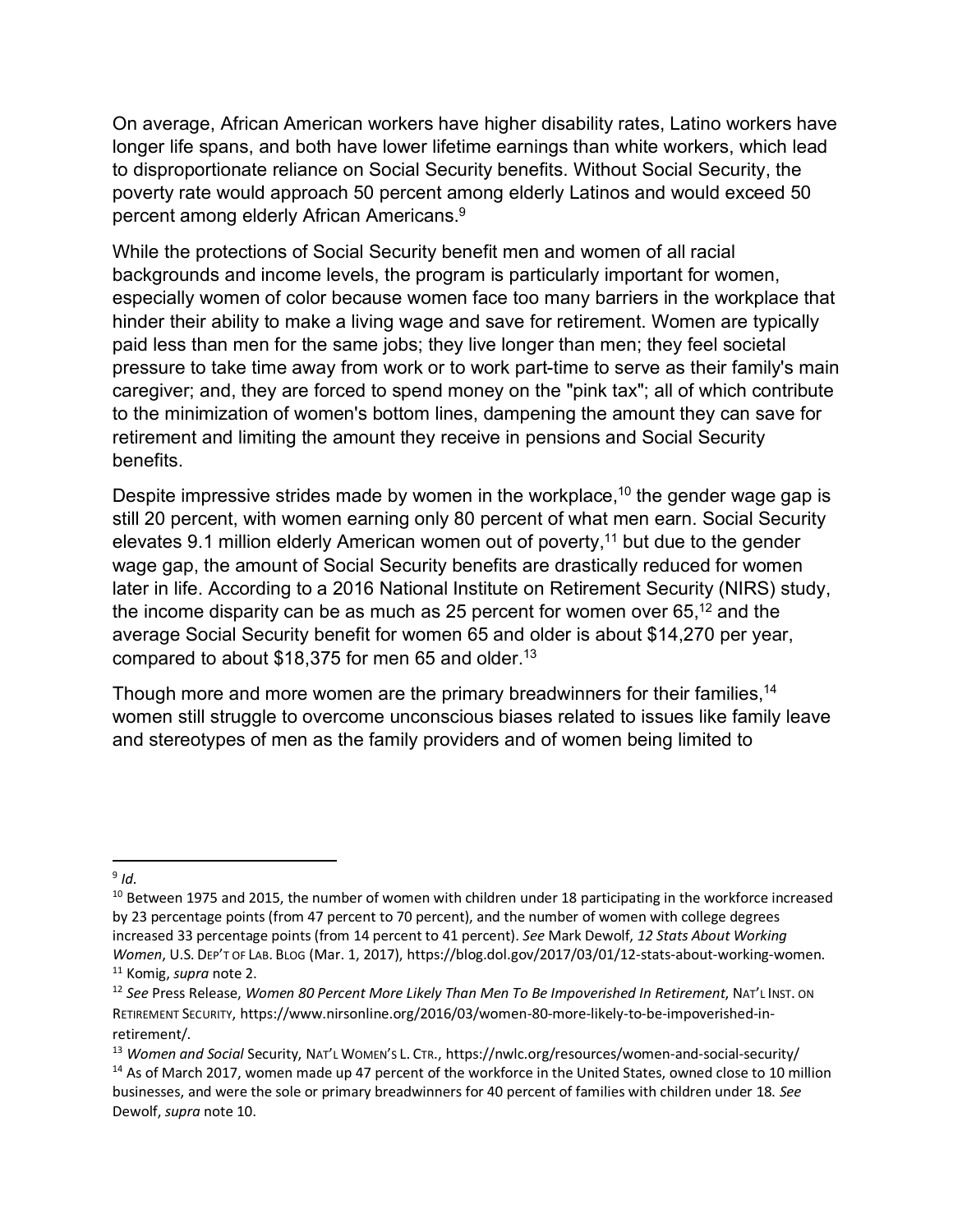On average, African American workers have higher disability rates, Latino workers have longer life spans, and both have lower lifetime earnings than white workers, which lead to disproportionate reliance on Social Security benefits. Without Social Security, the poverty rate would approach 50 percent among elderly Latinos and would exceed 50 percent among elderly African Americans.9

While the protections of Social Security benefit men and women of all racial backgrounds and income levels, the program is particularly important for women, especially women of color because women face too many barriers in the workplace that hinder their ability to make a living wage and save for retirement. Women are typically paid less than men for the same jobs; they live longer than men; they feel societal pressure to take time away from work or to work part-time to serve as their family's main caregiver; and, they are forced to spend money on the "pink tax"; all of which contribute to the minimization of women's bottom lines, dampening the amount they can save for retirement and limiting the amount they receive in pensions and Social Security benefits.

Despite impressive strides made by women in the workplace,  $10$  the gender wage gap is still 20 percent, with women earning only 80 percent of what men earn. Social Security elevates 9.1 million elderly American women out of poverty,<sup>11</sup> but due to the gender wage gap, the amount of Social Security benefits are drastically reduced for women later in life. According to a 2016 National Institute on Retirement Security (NIRS) study, the income disparity can be as much as 25 percent for women over  $65,^{12}$  and the average Social Security benefit for women 65 and older is about \$14,270 per year, compared to about \$18,375 for men 65 and older.<sup>13</sup>

Though more and more women are the primary breadwinners for their families,<sup>14</sup> women still struggle to overcome unconscious biases related to issues like family leave and stereotypes of men as the family providers and of women being limited to

 <sup>9</sup> *Id.*

<sup>&</sup>lt;sup>10</sup> Between 1975 and 2015, the number of women with children under 18 participating in the workforce increased by 23 percentage points (from 47 percent to 70 percent), and the number of women with college degrees increased 33 percentage points (from 14 percent to 41 percent). *See* Mark Dewolf, *12 Stats About Working Women*, U.S. DEP'T OF LAB. BLOG (Mar. 1, 2017), https://blog.dol.gov/2017/03/01/12-stats-about-working-women. <sup>11</sup> Komig, *supra* note 2.

<sup>12</sup> *See* Press Release, *Women 80 Percent More Likely Than Men To Be Impoverished In Retirement*, NAT'L INST. ON RETIREMENT SECURITY, https://www.nirsonline.org/2016/03/women-80-more-likely-to-be-impoverished-inretirement/.

<sup>13</sup> *Women and Social* Security, NAT'L WOMEN'S L. CTR., https://nwlc.org/resources/women-and-social-security/

<sup>&</sup>lt;sup>14</sup> As of March 2017, women made up 47 percent of the workforce in the United States, owned close to 10 million businesses, and were the sole or primary breadwinners for 40 percent of families with children under 18. *See*  Dewolf, *supra* note 10.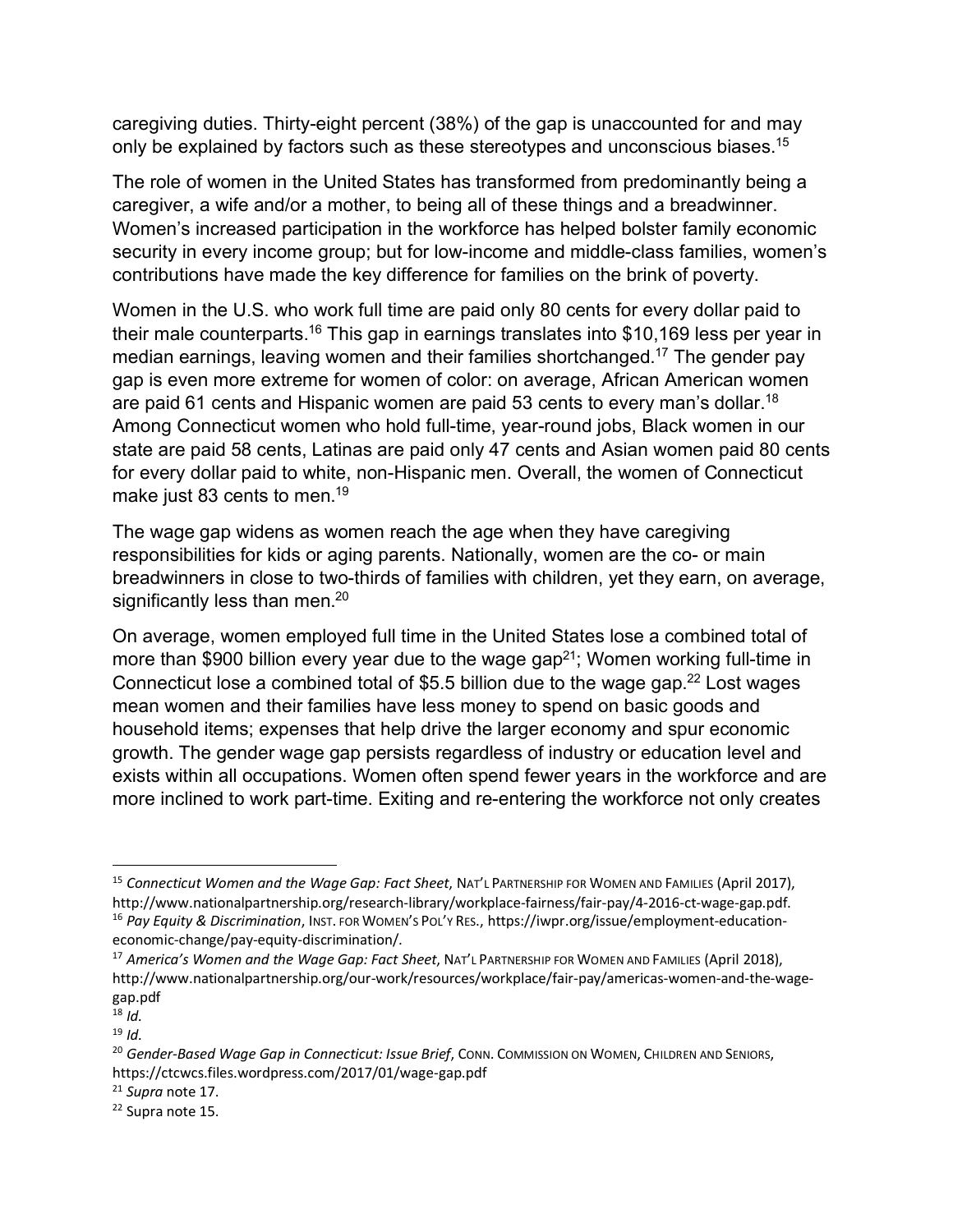caregiving duties. Thirty-eight percent (38%) of the gap is unaccounted for and may only be explained by factors such as these stereotypes and unconscious biases.<sup>15</sup>

The role of women in the United States has transformed from predominantly being a caregiver, a wife and/or a mother, to being all of these things and a breadwinner. Women's increased participation in the workforce has helped bolster family economic security in every income group; but for low-income and middle-class families, women's contributions have made the key difference for families on the brink of poverty.

Women in the U.S. who work full time are paid only 80 cents for every dollar paid to their male counterparts.<sup>16</sup> This gap in earnings translates into \$10,169 less per year in median earnings, leaving women and their families shortchanged.17 The gender pay gap is even more extreme for women of color: on average, African American women are paid 61 cents and Hispanic women are paid 53 cents to every man's dollar.<sup>18</sup> Among Connecticut women who hold full-time, year-round jobs, Black women in our state are paid 58 cents, Latinas are paid only 47 cents and Asian women paid 80 cents for every dollar paid to white, non-Hispanic men. Overall, the women of Connecticut make just 83 cents to men.<sup>19</sup>

The wage gap widens as women reach the age when they have caregiving responsibilities for kids or aging parents. Nationally, women are the co- or main breadwinners in close to two-thirds of families with children, yet they earn, on average, significantly less than men.<sup>20</sup>

On average, women employed full time in the United States lose a combined total of more than \$900 billion every year due to the wage gap<sup>21</sup>; Women working full-time in Connecticut lose a combined total of \$5.5 billion due to the wage gap.<sup>22</sup> Lost wages mean women and their families have less money to spend on basic goods and household items; expenses that help drive the larger economy and spur economic growth. The gender wage gap persists regardless of industry or education level and exists within all occupations. Women often spend fewer years in the workforce and are more inclined to work part-time. Exiting and re-entering the workforce not only creates

<sup>15</sup> Connecticut Women and the Wage Gap: Fact Sheet, NAT'L PARTNERSHIP FOR WOMEN AND FAMILIES (April 2017), http://www.nationalpartnership.org/research-library/workplace-fairness/fair-pay/4-2016-ct-wage-gap.pdf. <sup>16</sup> *Pay Equity & Discrimination*, INST. FOR WOMEN'S POL'Y RES., https://iwpr.org/issue/employment-educationeconomic-change/pay-equity-discrimination/.

<sup>17</sup> *America's Women and the Wage Gap: Fact Sheet*, NAT'L PARTNERSHIP FOR WOMEN AND FAMILIES (April 2018), http://www.nationalpartnership.org/our-work/resources/workplace/fair-pay/americas-women-and-the-wagegap.pdf

<sup>18</sup> *Id.*

<sup>19</sup> *Id.*

<sup>&</sup>lt;sup>20</sup> Gender-Based Wage Gap in Connecticut: Issue Brief, CONN. COMMISSION ON WOMEN, CHILDREN AND SENIORS, https://ctcwcs.files.wordpress.com/2017/01/wage-gap.pdf

<sup>21</sup> *Supra* note 17.

<sup>22</sup> Supra note 15.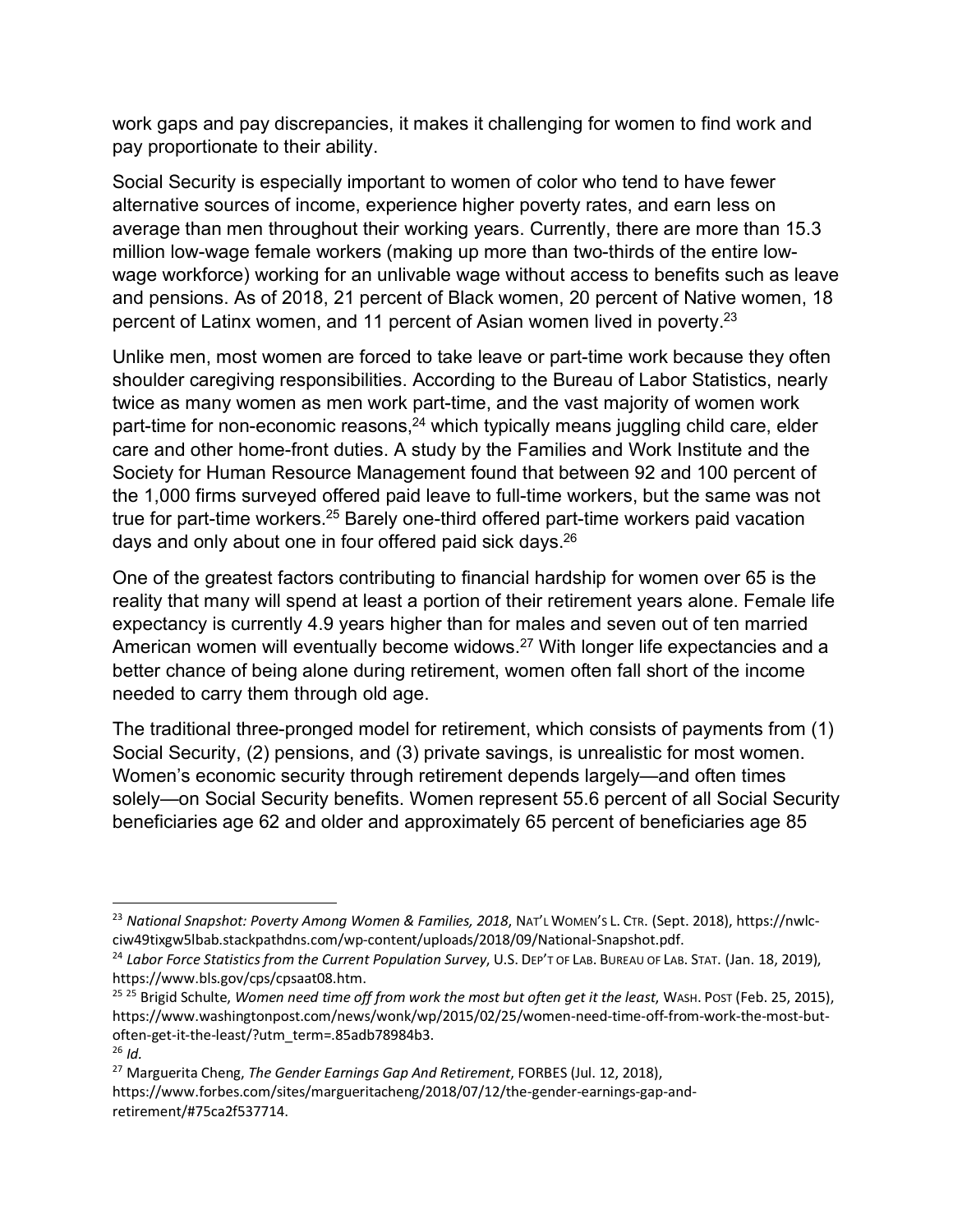work gaps and pay discrepancies, it makes it challenging for women to find work and pay proportionate to their ability.

Social Security is especially important to women of color who tend to have fewer alternative sources of income, experience higher poverty rates, and earn less on average than men throughout their working years. Currently, there are more than 15.3 million low-wage female workers (making up more than two-thirds of the entire lowwage workforce) working for an unlivable wage without access to benefits such as leave and pensions. As of 2018, 21 percent of Black women, 20 percent of Native women, 18 percent of Latinx women, and 11 percent of Asian women lived in poverty.<sup>23</sup>

Unlike men, most women are forced to take leave or part-time work because they often shoulder caregiving responsibilities. According to the Bureau of Labor Statistics, nearly twice as many women as men work part-time, and the vast majority of women work part-time for non-economic reasons, $24$  which typically means juggling child care, elder care and other home-front duties. A study by the Families and Work Institute and the Society for Human Resource Management found that between 92 and 100 percent of the 1,000 firms surveyed offered paid leave to full-time workers, but the same was not true for part-time workers.25 Barely one-third offered part-time workers paid vacation days and only about one in four offered paid sick days.<sup>26</sup>

One of the greatest factors contributing to financial hardship for women over 65 is the reality that many will spend at least a portion of their retirement years alone. Female life expectancy is currently 4.9 years higher than for males and seven out of ten married American women will eventually become widows.<sup>27</sup> With longer life expectancies and a better chance of being alone during retirement, women often fall short of the income needed to carry them through old age.

The traditional three-pronged model for retirement, which consists of payments from (1) Social Security, (2) pensions, and (3) private savings, is unrealistic for most women. Women's economic security through retirement depends largely—and often times solely—on Social Security benefits. Women represent 55.6 percent of all Social Security beneficiaries age 62 and older and approximately 65 percent of beneficiaries age 85

 <sup>23</sup> *National Snapshot: Poverty Among Women & Families, 2018*, NAT'L WOMEN'S L. CTR. (Sept. 2018), https://nwlcciw49tixgw5lbab.stackpathdns.com/wp-content/uploads/2018/09/National-Snapshot.pdf.

<sup>24</sup> *Labor Force Statistics from the Current Population Survey*, U.S. DEP'T OF LAB. BUREAU OF LAB. STAT. (Jan. 18, 2019), https://www.bls.gov/cps/cpsaat08.htm.

<sup>25</sup> <sup>25</sup> Brigid Schulte, *Women need time off from work the most but often get it the least*, WASH. POST (Feb. 25, 2015), https://www.washingtonpost.com/news/wonk/wp/2015/02/25/women-need-time-off-from-work-the-most-butoften-get-it-the-least/?utm\_term=.85adb78984b3. <sup>26</sup> *Id.*

<sup>27</sup> Marguerita Cheng, *The Gender Earnings Gap And Retirement*, FORBES (Jul. 12, 2018), https://www.forbes.com/sites/margueritacheng/2018/07/12/the-gender-earnings-gap-andretirement/#75ca2f537714.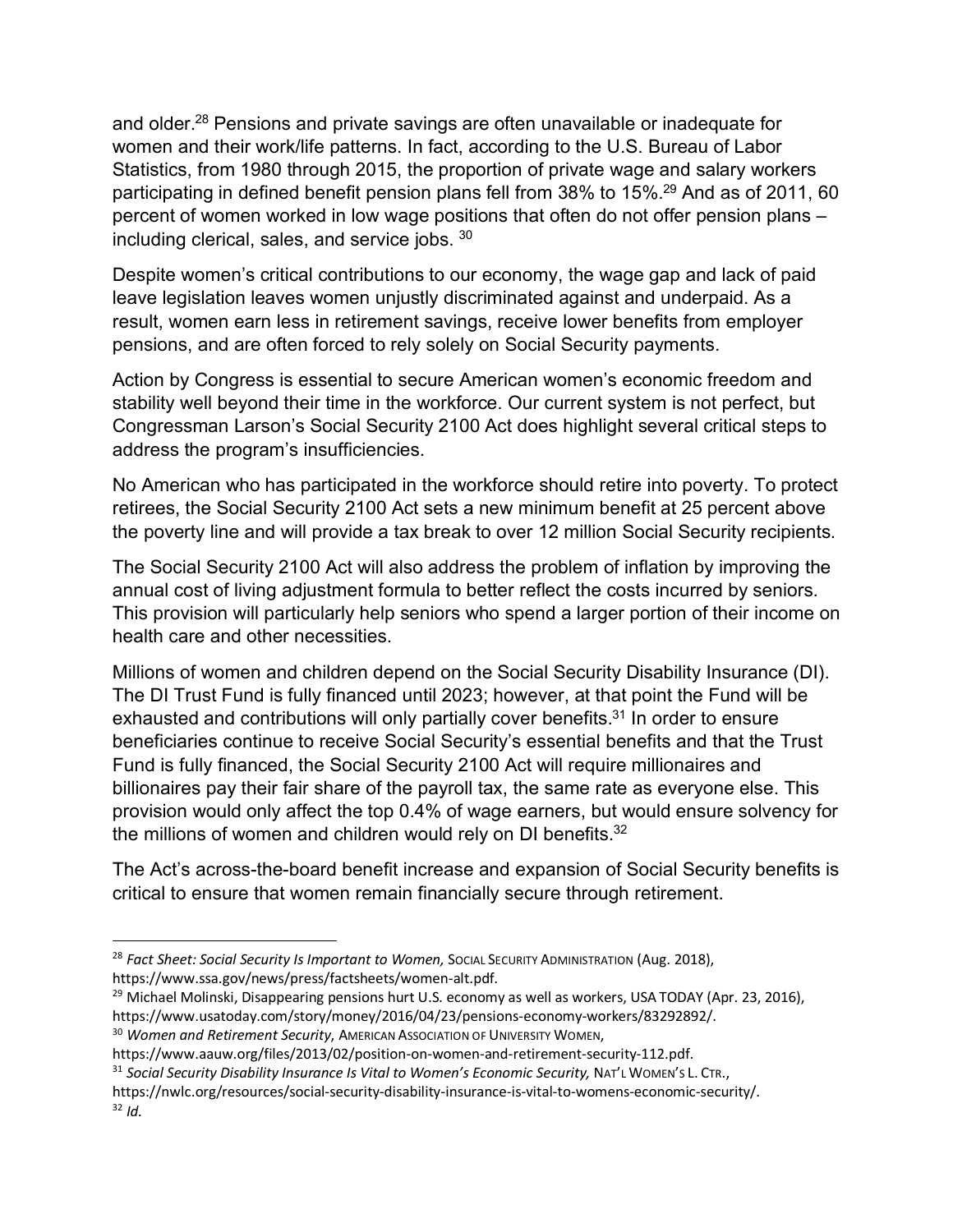and older.28 Pensions and private savings are often unavailable or inadequate for women and their work/life patterns. In fact, according to the U.S. Bureau of Labor Statistics, from 1980 through 2015, the proportion of private wage and salary workers participating in defined benefit pension plans fell from 38% to 15%.<sup>29</sup> And as of 2011, 60 percent of women worked in low wage positions that often do not offer pension plans – including clerical, sales, and service jobs. 30

Despite women's critical contributions to our economy, the wage gap and lack of paid leave legislation leaves women unjustly discriminated against and underpaid. As a result, women earn less in retirement savings, receive lower benefits from employer pensions, and are often forced to rely solely on Social Security payments.

Action by Congress is essential to secure American women's economic freedom and stability well beyond their time in the workforce. Our current system is not perfect, but Congressman Larson's Social Security 2100 Act does highlight several critical steps to address the program's insufficiencies.

No American who has participated in the workforce should retire into poverty. To protect retirees, the Social Security 2100 Act sets a new minimum benefit at 25 percent above the poverty line and will provide a tax break to over 12 million Social Security recipients.

The Social Security 2100 Act will also address the problem of inflation by improving the annual cost of living adjustment formula to better reflect the costs incurred by seniors. This provision will particularly help seniors who spend a larger portion of their income on health care and other necessities.

Millions of women and children depend on the Social Security Disability Insurance (DI). The DI Trust Fund is fully financed until 2023; however, at that point the Fund will be exhausted and contributions will only partially cover benefits.<sup>31</sup> In order to ensure beneficiaries continue to receive Social Security's essential benefits and that the Trust Fund is fully financed, the Social Security 2100 Act will require millionaires and billionaires pay their fair share of the payroll tax, the same rate as everyone else. This provision would only affect the top 0.4% of wage earners, but would ensure solvency for the millions of women and children would rely on DI benefits.<sup>32</sup>

The Act's across-the-board benefit increase and expansion of Social Security benefits is critical to ensure that women remain financially secure through retirement.

<sup>&</sup>lt;sup>28</sup> Fact Sheet: Social Security Is Important to Women, Social Security Administration (Aug. 2018), https://www.ssa.gov/news/press/factsheets/women-alt.pdf.

<sup>&</sup>lt;sup>29</sup> Michael Molinski, Disappearing pensions hurt U.S. economy as well as workers, USA TODAY (Apr. 23, 2016), https://www.usatoday.com/story/money/2016/04/23/pensions-economy-workers/83292892/.

<sup>30</sup> *Women and Retirement Security*, AMERICAN ASSOCIATION OF UNIVERSITY WOMEN,

https://www.aauw.org/files/2013/02/position-on-women-and-retirement-security-112.pdf.

<sup>31</sup> Social Security Disability Insurance Is Vital to Women's Economic Security, NAT'L WOMEN'S L. CTR.,

https://nwlc.org/resources/social-security-disability-insurance-is-vital-to-womens-economic-security/.  $32$  *Id.*